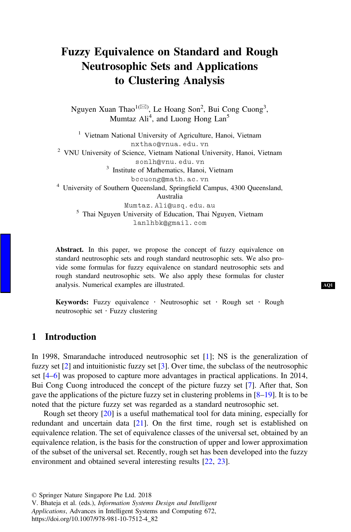# Fuzzy Equivalence on Standard and Rough Neutrosophic Sets and Applications to Clustering Analysis

Nguyen Xuan Thao<sup>1( $\boxtimes$ )</sup>, Le Hoang Son<sup>2</sup>, Bui Cong Cuong<sup>3</sup>, Mumtaz Ali<sup>4</sup>, and Luong Hong Lan<sup>5</sup>

<sup>1</sup> Vietnam National University of Agriculture, Hanoi, Vietnam nxthao@vnua.edu.vn<br>
<sup>2</sup> VNU University of Science, Vietnam National University, Hanoi, Vietnam<br>
sonlh@vnu.edu.vn  $3$  Institute of Mathematics, Hanoi, Vietnam bccuong@math.ac.vn <sup>4</sup> University of Southern Queensland, Springfield Campus, 4300 Queensland, Australia<br>Mumtaz.Ali@usq.edu.au  $5$  Thai Nguyen University of Education, Thai Nguyen, Vietnam lanlhbk@gmail.com

Abstract. In this paper, we propose the concept of fuzzy equivalence on standard neutrosophic sets and rough standard neutrosophic sets. We also provide some formulas for fuzzy equivalence on standard neutrosophic sets and rough standard neutrosophic sets. We also apply these formulas for cluster analysis. Numerical examples are illustrated.

Keywords: Fuzzy equivalence · Neutrosophic set · Rough set · Rough neutrosophic set · Fuzzy clustering

### 1 Introduction

In 1998, Smarandache introduced neutrosophic set [\[1](#page-7-0)]; NS is the generalization of fuzzy set [[2\]](#page-7-0) and intuitionistic fuzzy set [\[3](#page-7-0)]. Over time, the subclass of the neutrosophic set [\[4](#page-7-0)–[6](#page-7-0)] was proposed to capture more advantages in practical applications. In 2014, Bui Cong Cuong introduced the concept of the picture fuzzy set [[7\]](#page-7-0). After that, Son gave the applications of the picture fuzzy set in clustering problems in [[8](#page-7-0)–[19\]](#page-8-0). It is to be noted that the picture fuzzy set was regarded as a standard neutrosophic set.

Rough set theory [[20\]](#page-8-0) is a useful mathematical tool for data mining, especially for redundant and uncertain data [\[21](#page-8-0)]. On the first time, rough set is established on equivalence relation. The set of equivalence classes of the universal set, obtained by an equivalence relation, is the basis for the construction of upper and lower approximation of the subset of the universal set. Recently, rough set has been developed into the fuzzy environment and obtained several interesting results [\[22](#page-8-0), [23](#page-8-0)].

V. Bhateja et al. (eds.), Information Systems Design and Intelligent Applications, Advances in Intelligent Systems and Computing 672,

https://doi.org/10.1007/978-981-10-7512-4\_82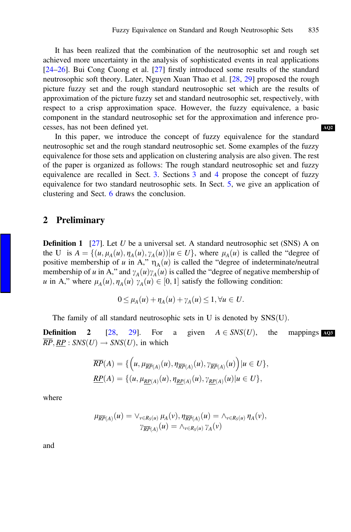[AQ2](#page--1-0)

It has been realized that the combination of the neutrosophic set and rough set achieved more uncertainty in the analysis of sophisticated events in real applications [\[24](#page-8-0)–[26](#page-8-0)]. Bui Cong Cuong et al. [[27\]](#page-8-0) firstly introduced some results of the standard neutrosophic soft theory. Later, Nguyen Xuan Thao et al. [[28,](#page-8-0) [29\]](#page-8-0) proposed the rough picture fuzzy set and the rough standard neutrosophic set which are the results of approximation of the picture fuzzy set and standard neutrosophic set, respectively, with respect to a crisp approximation space. However, the fuzzy equivalence, a basic component in the standard neutrosophic set for the approximation and inference processes, has not been defined yet.

In this paper, we introduce the concept of fuzzy equivalence for the standard neutrosophic set and the rough standard neutrosophic set. Some examples of the fuzzy equivalence for those sets and application on clustering analysis are also given. The rest of the paper is organized as follows: The rough standard neutrosophic set and fuzzy equivalence are recalled in Sect. [3](#page-2-0). Sections [3](#page-2-0) and [4](#page-3-0) propose the concept of fuzzy equivalence for two standard neutrosophic sets. In Sect. [5,](#page-4-0) we give an application of clustering and Sect. [6](#page-7-0) draws the conclusion.

#### 2 Preliminary

**Definition 1** [[27\]](#page-8-0). Let U be a universal set. A standard neutrosophic set (SNS) A on the U is  $A = \{(u, \mu_A(u), \eta_A(u), \gamma_A(u)) | u \in U\}$ , where  $\mu_A(u)$  is called the "degree of positive membership of u in A,"  $\eta_A(u)$  is called the "degree of indeterminate/neutral membership of u in A," and  $\gamma_A(u)\gamma_A(u)$  is called the "degree of negative membership of u in A," where  $\mu_A(u), \eta_A(u) \gamma_A(u) \in [0, 1]$  satisfy the following condition:

$$
0 \leq \mu_A(u) + \eta_A(u) + \gamma_A(u) \leq 1, \forall u \in U.
$$

The family of all standard neutrosophic sets in U is denoted by SNS(U).<br> **Definition** 2 [28, 29]. For a given  $A \in SNS(U)$ , the

**Definition 2** [\[28](#page-8-0), [29\]](#page-8-0). For a given  $A \in SNS(U)$ , the mappings  $\overline{PD} \cap PD : SNS(U)$ , save  $SUS(U)$ , the mappings  $RP, \underline{RP} : SNS(U) \rightarrow SNS(U)$ , in which mappings [AQ3](#page--1-0)

$$
\overline{RP}(A) = \{ \left( u, \mu_{\overline{RP}(A)}(u), \eta_{\overline{RP}(A)}(u), \gamma_{\overline{RP}(A)}(u) \right) | u \in U \},
$$
  

$$
\underline{RP}(A) = \{ (u, \mu_{\underline{RP}(A)}(u), \eta_{\underline{RP}(A)}(u), \gamma_{\underline{RP}(A)}(u) | u \in U \},
$$

where

$$
\mu_{\overline{RP}(A)}(u) = \vee_{v \in R_S(u)} \mu_A(v), \eta_{\overline{RP}(A)}(u) = \wedge_{v \in R_S(u)} \eta_A(v),
$$
  

$$
\gamma_{\overline{RP}(A)}(u) = \wedge_{v \in R_S(u)} \gamma_A(v)
$$

and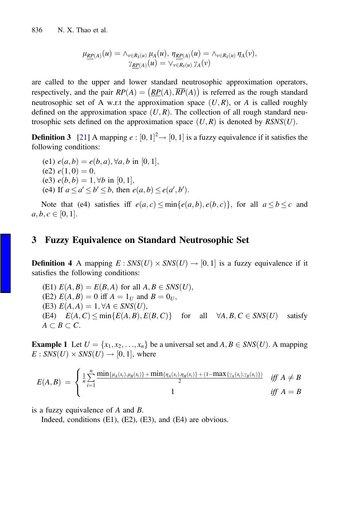$$
\mu_{\underline{RP}(A)}(u) = \wedge_{v \in R_S(u)} \mu_A(u), \ \eta_{\underline{RP}(A)}(u) = \wedge_{v \in R_S(u)} \eta_A(v),
$$

$$
\gamma_{\underline{RP}(A)}(u) = \vee_{v \in R_S(u)} \gamma_A(v)
$$

<span id="page-2-0"></span>are called to the upper and lower standard neutrosophic approximation operators, respectively, and the pair  $RP(A) = (RP(A), \overline{RP}(A))$  is referred as the rough standard neutrosophic set of A w.r.t the approximation space  $(U, R)$ , or A is called roughly defined on the approximation space  $(U, R)$ . The collection of all rough standard neutrosophic sets defined on the approximation space  $(U, R)$  is denoted by  $RSNS(U)$ .

**Definition 3** [[21\]](#page-8-0) A mapping  $e : [0, 1]^2 \rightarrow [0, 1]$  is a fuzzy equivalence if it satisfies the following conditions: following conditions:

(e1)  $e(a,b) = e(b,a), \forall a,b \text{ in } [0,1],$ (e2)  $e(1, 0) = 0$ , (e3)  $e(b, b) = 1, \forall b$  in [0, 1], (e4) If  $a \le a' \le b' \le b$ , then  $e(a, b) \le e(a', b')$ .

Note that (e4) satisfies iff  $e(a, c) \le \min\{e(a, b), e(b, c)\}\$ , for all  $a \le b \le c$  and  $a, b, c \in [0, 1].$ 

## 3 Fuzzy Equivalence on Standard Neutrosophic Set

**Definition 4** A mapping  $E: SNS(U) \times SNS(U) \rightarrow [0, 1]$  is a fuzzy equivalence if it satisfies the following conditions:

(E1)  $E(A, B) = E(B, A)$  for all  $A, B \in SNS(U)$ , (E2)  $E(A, B) = 0$  iff  $A = 1_U$  and  $B = 0_U$ , (E3)  $E(A, A) = 1, \forall A \in SNS(U),$ (E4)  $E(A, C) \le \min\{E(A, B), E(B, C)\}$  for all  $\forall A, B, C \in SNS(U)$  satisfy  $A \subset B \subset C$ .

**Example 1** Let  $U = \{x_1, x_2, \ldots, x_n\}$  be a universal set and  $A, B \in SNS(U)$ . A mapping  $E: SNS(U) \times SNS(U) \rightarrow [0, 1]$ , where

$$
E(A, B) = \begin{cases} \frac{1}{n} \sum_{i=1}^{n} \frac{\min\{\mu_A(x_i), \mu_B(x_i)\} + \min\{\eta_A(x_i), \eta_B(x_i)\} + (1 - \max\{\gamma_A(x_i), \gamma_B(x_i)\})}{2} & \text{iff } A \neq B \\ 1 & \text{iff } A = B \end{cases}
$$

is a fuzzy equivalence of A and B.

Indeed, conditions (E1), (E2), (E3), and (E4) are obvious.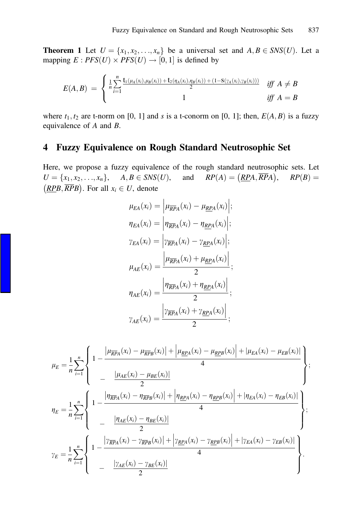<span id="page-3-0"></span>**Theorem 1** Let  $U = \{x_1, x_2, \ldots, x_n\}$  be a universal set and  $A, B \in SNS(U)$ . Let a mapping  $E: PFS(U) \times PFS(U) \rightarrow [0, 1]$  is defined by

$$
E(A,B) = \begin{cases} \frac{1}{n} \sum_{i=1}^{n} \frac{\mathbf{t}_1(\mu_A(x_i), \mu_B(x_i)) + \mathbf{t}_2(\eta_A(x_i), \eta_B(x_i)) + (1 - \mathbf{S}(\gamma_A(x_i), \gamma_B(x_i)))}{2} & \text{iff } A \neq B \\ 1 & \text{iff } A = B \end{cases}
$$

where  $t_1, t_2$  are t-norm on [0, 1] and s is a t-conorm on [0, 1]; then,  $E(A, B)$  is a fuzzy equivalence of A and B.

# 4 Fuzzy Equivalence on Rough Standard Neutrosophic Set

Here, we propose a fuzzy equivalence of the rough standard neutrosophic sets. Let  $U = \{x_1, x_2, ..., x_n\}$ ,  $A, B \in SNS(U)$ , and  $RP(A) = (RPA, \overline{RPA})$ ,  $RP(B) =$  $U = \{x_1, x_2, \ldots, x_n\}, \quad A, B \in SNS(U), \quad \text{and} \quad RP(A) = \overline{(RPA, \overline{RPA})}, \quad RP(B) =$  $(RPB, \overline{RPB})$ . For all  $x_i \in U$ , denote

$$
\mu_{EA}(x_i) = \left| \mu_{\overline{RPA}}(x_i) - \mu_{\underline{RPA}}(x_i) \right|;
$$
\n
$$
\eta_{EA}(x_i) = \left| \eta_{\overline{RPA}}(x_i) - \eta_{\underline{RPA}}(x_i) \right|;
$$
\n
$$
\gamma_{EA}(x_i) = \left| \gamma_{\overline{RPA}}(x_i) - \gamma_{\underline{RPA}}(x_i) \right|;
$$
\n
$$
\mu_{AE}(x_i) = \frac{\left| \mu_{\overline{RPA}}(x_i) + \mu_{\underline{RPA}}(x_i) \right|}{2};
$$
\n
$$
\eta_{AE}(x_i) = \frac{\left| \eta_{\overline{RPA}}(x_i) + \eta_{\underline{RPA}}(x_i) \right|}{2};
$$
\n
$$
\gamma_{AE}(x_i) = \frac{\left| \gamma_{\overline{RPA}}(x_i) + \gamma_{\underline{RPA}}(x_i) \right|}{2};
$$

$$
\mu_{E} = \frac{1}{n} \sum_{i=1}^{n} \left\{ 1 - \frac{\left| \mu_{\overline{R}\overline{P}A}(x_{i}) - \mu_{\overline{R}\overline{P}B}(x_{i}) \right| + \left| \mu_{\underline{R}\underline{P}A}(x_{i}) - \mu_{\underline{R}\underline{P}B}(x_{i}) \right| + \left| \mu_{\underline{R}A}(x_{i}) - \mu_{\underline{R}\underline{B}}(x_{i}) \right|}{4} \right\};
$$
\n
$$
\eta_{E} = \frac{1}{n} \sum_{i=1}^{n} \left\{ 1 - \frac{\left| \eta_{\overline{R}\overline{P}A}(x_{i}) - \eta_{\overline{R}\overline{P}B}(x_{i}) \right| + \left| \eta_{\underline{R}\underline{P}A}(x_{i}) - \eta_{\underline{R}\underline{P}B}(x_{i}) \right| + \left| \eta_{\underline{R}A}(x_{i}) - \eta_{\underline{R}\underline{B}}(x_{i}) \right|}{4} \right\};
$$
\n
$$
\gamma_{E} = \frac{1}{n} \sum_{i=1}^{n} \left\{ 1 - \frac{\left| \eta_{\overline{R}\overline{P}A}(x_{i}) - \eta_{\overline{R}\underline{P}B}(x_{i}) \right|}{2} + \left| \eta_{\underline{R}\underline{P}A}(x_{i}) - \eta_{\underline{R}\underline{P}B}(x_{i}) \right| + \left| \eta_{\underline{R}A}(x_{i}) - \eta_{\underline{R}\underline{P}B}(x_{i}) \right|}{4} \right\};
$$
\n
$$
\gamma_{E} = \frac{1}{n} \sum_{i=1}^{n} \left\{ 1 - \frac{\left| \eta_{\overline{R}\underline{P}A}(x_{i}) - \eta_{\overline{R}\underline{P}B}(x_{i}) \right| + \left| \eta_{\underline{R}\underline{P}A}(x_{i}) - \eta_{\underline{R}\underline{P}B}(x_{i}) \right| + \left| \eta_{\underline{R}A}(x_{i}) - \eta_{\underline{E}B}(x_{i}) \right|}{4} \right\}.
$$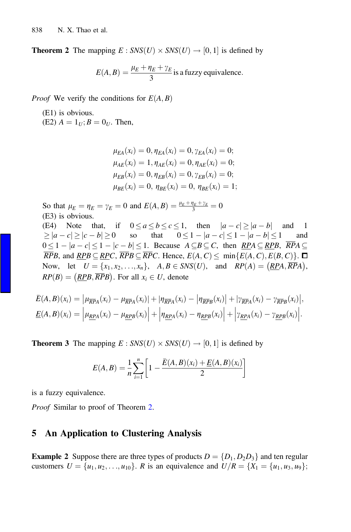<span id="page-4-0"></span>**Theorem 2** The mapping  $E : SNS(U) \times SNS(U) \rightarrow [0, 1]$  is defined by

$$
E(A, B) = \frac{\mu_E + \eta_E + \gamma_E}{3}
$$
 is a fuzzy equivalence.

*Proof* We verify the conditions for  $E(A, B)$ 

(E1) is obvious. (E2)  $A = 1_U$ ;  $B = 0_U$ . Then,

$$
\mu_{EA}(x_i) = 0, \eta_{EA}(x_i) = 0, \gamma_{EA}(x_i) = 0;
$$
  
\n
$$
\mu_{AE}(x_i) = 1, \eta_{AE}(x_i) = 0, \eta_{AE}(x_i) = 0;
$$
  
\n
$$
\mu_{EB}(x_i) = 0, \eta_{EB}(x_i) = 0, \gamma_{EB}(x_i) = 0;
$$
  
\n
$$
\mu_{BE}(x_i) = 0, \eta_{BE}(x_i) = 0, \eta_{BE}(x_i) = 1;
$$

So that  $\mu_E = \eta_E = \gamma_E = 0$  and  $E(A, B) = \frac{\mu_E + \eta_E + \gamma_E}{3} = 0$ (E3) is obvious. (E4) Note that, if  $0 \le a \le b \le c \le 1$ , then  $|a - c| \ge |a - b|$  and  $1 \ge |a - c| \ge |c - b| \ge 0$  so that  $0 \le 1 - |a - c| \le 1 - |a - b| \le 1$  and  $\geq |a-c| \geq |c-b| \geq 0$  so that  $0 \leq 1 - |a-c| \leq 1 - |a-b| \leq 1$  and<br> $0 \leq 1 - |a-c| \leq 1 - |c-b| \leq 1$  Because  $A \subseteq B \subseteq C$  then  $PPA \subseteq PPR$   $\overline{PPA}$  $0 \leq 1 - |a - c| \leq 1 - |c - b| \leq 1$ . Because  $A \subseteq B \subseteq C$ , then  $\frac{RPA}{RPA} \subseteq \frac{RPB}{RPB}$ ,  $RPA \subseteq \frac{RPB}{RPB}$  and  $RPR \subseteq RPC$ .  $\frac{RDP}{RQP} \subseteq \frac{RPP}{RP}$ . Hence  $F(A, C) \leq \min_{R} F(A, C) \leq F(R, C)$ .  $\overline{RPB}$ , and  $\overline{RPB} \subseteq \overline{RPC}$ ,  $\overline{RPB} \subseteq \overline{RPC}$ . Hence,  $E(A, C) \le \min\{E(A, C), E(B, C)\}\$ . Now, let  $U = \{x_1, x_2, \ldots, x_n\}, A, B \in SNS(U)$ , and  $RP(A) = \left(\frac{RPA}{RPA}\right)$ ,  $RP(B) = (RPB, \overline{RPB})$ . For all  $x_i \in U$ , denote

$$
\overline{E}(A,B)(x_i) = \left| \mu_{\overline{RPA}}(x_i) - \mu_{\overline{RPA}}(x_i) \right| + \left| \eta_{\overline{RPA}}(x_i) - \eta_{\overline{RPB}}(x_i) \right| + \left| \gamma_{\overline{RPA}}(x_i) - \gamma_{\overline{RPB}}(x_i) \right|,
$$
\n
$$
\underline{E}(A,B)(x_i) = \left| \mu_{\underline{RPA}}(x_i) - \mu_{\underline{RPB}}(x_i) \right| + \left| \eta_{\underline{RPA}}(x_i) - \eta_{\underline{RPB}}(x_i) \right| + \left| \gamma_{\underline{RPA}}(x_i) - \gamma_{\underline{RPB}}(x_i) \right|.
$$

**Theorem 3** The mapping  $E : SNS(U) \times SNS(U) \rightarrow [0, 1]$  is defined by

$$
E(A, B) = \frac{1}{n} \sum_{i=1}^{n} \left[ 1 - \frac{\bar{E}(A, B)(x_i) + \underline{E}(A, B)(x_i)}{2} \right]
$$

is a fuzzy equivalence.

Proof Similar to proof of Theorem 2.

# 5 An Application to Clustering Analysis

**Example 2** Suppose there are three types of products  $D = \{D_1, D_2D_3\}$  and ten regular customers  $U = \{u_1, u_2, \ldots, u_{10}\}\$ . R is an equivalence and  $U/R = \{X_1 = \{u_1, u_3, u_9\}\}\$ ;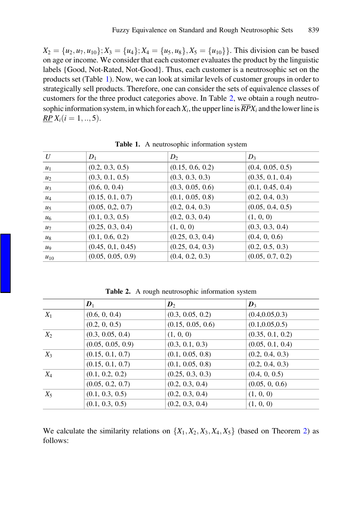$X_2 = \{u_2, u_7, u_{10}\}; X_3 = \{u_4\}; X_4 = \{u_5, u_8\}, X_5 = \{u_{10}\}\}.$  This division can be based on age or income. We consider that each customer evaluates the product by the linguistic labels {Good, Not-Rated, Not-Good}. Thus, each customer is a neutrosophic set on the products set (Table 1). Now, we can look at similar levels of customer groups in order to strategically sell products. Therefore, one can consider the sets of equivalence classes of customers for the three product categories above. In Table 2, we obtain a rough neutrosophic information system, in which for each  $X_i$ , the upper line is  $\overline{RP}X_i$  and the lower line is  $RP X_i (i = 1, ..., 5)$ .

| U        | $D_1$             | $D_2$            | $D_3$            |
|----------|-------------------|------------------|------------------|
| $u_1$    | (0.2, 0.3, 0.5)   | (0.15, 0.6, 0.2) | (0.4, 0.05, 0.5) |
| $u_2$    | (0.3, 0.1, 0.5)   | (0.3, 0.3, 0.3)  | (0.35, 0.1, 0.4) |
| $u_3$    | (0.6, 0, 0.4)     | (0.3, 0.05, 0.6) | (0.1, 0.45, 0.4) |
| $u_4$    | (0.15, 0.1, 0.7)  | (0.1, 0.05, 0.8) | (0.2, 0.4, 0.3)  |
| $u_5$    | (0.05, 0.2, 0.7)  | (0.2, 0.4, 0.3)  | (0.05, 0.4, 0.5) |
| $u_6$    | (0.1, 0.3, 0.5)   | (0.2, 0.3, 0.4)  | (1, 0, 0)        |
| $u_7$    | (0.25, 0.3, 0.4)  | (1, 0, 0)        | (0.3, 0.3, 0.4)  |
| $u_8$    | (0.1, 0.6, 0.2)   | (0.25, 0.3, 0.4) | (0.4, 0, 0.6)    |
| $u_9$    | (0.45, 0.1, 0.45) | (0.25, 0.4, 0.3) | (0.2, 0.5, 0.3)  |
| $u_{10}$ | (0.05, 0.05, 0.9) | (0.4, 0.2, 0.3)  | (0.05, 0.7, 0.2) |

Table 1. A neutrosophic information system

Table 2. A rough neutrosophic information system

|       | $\mathbf{D}_1$    | $\mathbf{D}_2$    | $\mathbf{D}_3$   |
|-------|-------------------|-------------------|------------------|
| $X_1$ | (0.6, 0, 0.4)     | (0.3, 0.05, 0.2)  | (0.4, 0.05, 0.3) |
|       | (0.2, 0, 0.5)     | (0.15, 0.05, 0.6) | (0.1, 0.05, 0.5) |
| $X_2$ | (0.3, 0.05, 0.4)  | (1, 0, 0)         | (0.35, 0.1, 0.2) |
|       | (0.05, 0.05, 0.9) | (0.3, 0.1, 0.3)   | (0.05, 0.1, 0.4) |
| $X_3$ | (0.15, 0.1, 0.7)  | (0.1, 0.05, 0.8)  | (0.2, 0.4, 0.3)  |
|       | (0.15, 0.1, 0.7)  | (0.1, 0.05, 0.8)  | (0.2, 0.4, 0.3)  |
| $X_4$ | (0.1, 0.2, 0.2)   | (0.25, 0.3, 0.3)  | (0.4, 0, 0.5)    |
|       | (0.05, 0.2, 0.7)  | (0.2, 0.3, 0.4)   | (0.05, 0, 0.6)   |
| $X_5$ | (0.1, 0.3, 0.5)   | (0.2, 0.3, 0.4)   | (1, 0, 0)        |
|       | (0.1, 0.3, 0.5)   | (0.2, 0.3, 0.4)   | (1, 0, 0)        |

We calculate the similarity relations on  $\{X_1, X_2, X_3, X_4, X_5\}$  (based on Theorem [2\)](#page-4-0) as follows: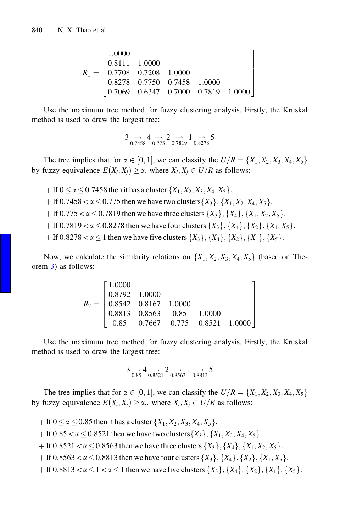$$
R_1 = \begin{bmatrix} 1.0000 & & & & & & \\ 0.8111 & 1.0000 & & & & & \\ 0.7708 & 0.7208 & 1.0000 & & & \\ 0.8278 & 0.7750 & 0.7458 & 1.0000 & & \\ 0.7069 & 0.6347 & 0.7000 & 0.7819 & 1.0000 \end{bmatrix}
$$

Use the maximum tree method for fuzzy clustering analysis. Firstly, the Kruskal method is used to draw the largest tree:

$$
3 \underset{0.7458}{\rightarrow} 4 \underset{0.775}{\rightarrow} 2 \underset{0.7819}{\rightarrow} 1 \underset{0.8278}{\rightarrow} 5
$$

The tree implies that for  $\alpha \in [0, 1]$ , we can classify the  $U/R = \{X_1, X_2, X_3, X_4, X_5\}$ by fuzzy equivalence  $E(X_i, X_j) \ge \alpha$ , where  $X_i, X_j \in U/R$  as follows:

 $+$  If  $0 \le \alpha \le 0.7458$  then it has a cluster  $\{X_1, X_2, X_3, X_4, X_5\}$ .  $f$  If 0.7458  $\alpha \le 0.775$  then we have two clusters  $\{X_3\}, \{X_1, X_2, X_4, X_5\}$ .  $f$  If 0.775  $\alpha \le 0.7819$  then we have three clusters  $\{X_3\}, \{X_4\}, \{X_1, X_2, X_5\}$ .  $f$  If 0.7819  $\lt \alpha$   $\lt$  0.8278 then we have four clusters  $\{X_3\}$ ,  $\{X_4\}$ ,  $\{X_2\}$ ,  $\{X_1, X_5\}$ .  $f$  If 0.8278 <  $\alpha$  < 1 then we have five clusters  $\{X_3\}$ ,  $\{X_4\}$ ,  $\{X_2\}$ ,  $\{X_1\}$ ,  $\{X_5\}$ .

Now, we calculate the similarity relations on  $\{X_1, X_2, X_3, X_4, X_5\}$  (based on Theorem [3](#page-4-0)) as follows:

| $\lceil 1.0000 \rceil$ |  |                                                                                                                                            |
|------------------------|--|--------------------------------------------------------------------------------------------------------------------------------------------|
|                        |  |                                                                                                                                            |
|                        |  |                                                                                                                                            |
|                        |  |                                                                                                                                            |
|                        |  | $\begin{array}{r} 300 \\ -10.8792 & 1.0000 \\ 0.8542 & 0.8167 & 1.0000 \\ 0.8563 & 0.85 & 1.0000 \\ 0.8563 & 0.8521 & 1.0000 \end{array}.$ |

Use the maximum tree method for fuzzy clustering analysis. Firstly, the Kruskal method is used to draw the largest tree:

$$
3 \underset{0.85}{\rightarrow} 4 \underset{0.8521}{\rightarrow} 2 \underset{0.8563}{\rightarrow} 1 \underset{0.8813}{\rightarrow} 5
$$

The tree implies that for  $\alpha \in [0, 1]$ , we can classify the  $U/R = \{X_1, X_2, X_3, X_4, X_5\}$ by fuzzy equivalence  $E(X_i, X_j) \ge \alpha$ ,, where  $X_i, X_j \in U/R$  as follows:

- + If  $0 \le \alpha \le 0.85$  then it has a cluster  $\{X_1, X_2, X_3, X_4, X_5\}$ .
- + If  $0.85 < \alpha \le 0.8521$  then we have two clusters  $\{X_3\}, \{X_1, X_2, X_4, X_5\}$ .
- $f$  If 0.8521 <  $\alpha$   $\leq$  0.8563 then we have three clusters  $\{X_3\}, \{X_4\}, \{X_1, X_2, X_5\}$ .
- $f$  If 0.8563  $\lt \alpha \le 0.8813$  then we have four clusters  $\{X_3\}, \{X_4\}, \{X_2\}, \{X_1, X_5\}$ .
- $f$  If 0.8813 <  $\alpha \le 1 < \alpha \le 1$  then we have five clusters  $\{X_3\}$ ,  $\{X_4\}$ ,  $\{X_2\}$ ,  $\{X_1\}$ ,  $\{X_5\}$ .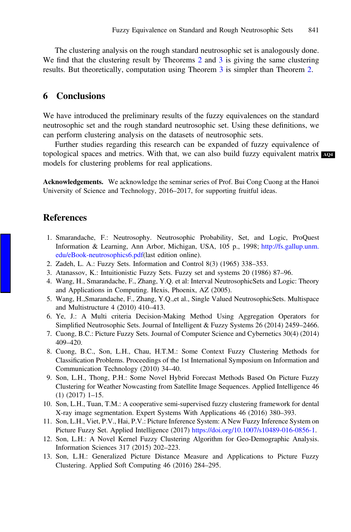<span id="page-7-0"></span>The clustering analysis on the rough standard neutrosophic set is analogously done. We find that the clustering result by Theorems [2](#page-4-0) and [3](#page-4-0) is giving the same clustering results. But theoretically, computation using Theorem [3](#page-4-0) is simpler than Theorem [2](#page-4-0).

# 6 Conclusions

We have introduced the preliminary results of the fuzzy equivalences on the standard neutrosophic set and the rough standard neutrosophic set. Using these definitions, we can perform clustering analysis on the datasets of neutrosophic sets.

Further studies regarding this research can be expanded of fuzzy equivalence of topological spaces and metrics. With that, we can also build fuzzy equivalent matrix are models for clustering problems for real applications.

Acknowledgements. We acknowledge the seminar series of Prof. Bui Cong Cuong at the Hanoi University of Science and Technology, 2016–2017, for supporting fruitful ideas.

## **References**

- 1. Smarandache, F.: Neutrosophy. Neutrosophic Probability, Set, and Logic, ProQuest Information & Learning, Ann Arbor, Michigan, USA, 105 p., 1998; [http://fs.gallup.unm.](http://fs.gallup.unm.edu/eBook-neutrosophics6.pdf) [edu/eBook-neutrosophics6.pdf](http://fs.gallup.unm.edu/eBook-neutrosophics6.pdf)(last edition online).
- 2. Zadeh, L. A.: Fuzzy Sets. Information and Control 8(3) (1965) 338–353.
- 3. Atanassov, K.: Intuitionistic Fuzzy Sets. Fuzzy set and systems 20 (1986) 87–96.
- 4. Wang, H., Smarandache, F., Zhang, Y.Q. et al: Interval NeutrosophicSets and Logic: Theory and Applications in Computing. Hexis, Phoenix, AZ (2005).
- 5. Wang, H.,Smarandache, F., Zhang, Y.Q.,et al., Single Valued NeutrosophicSets. Multispace and Multistructure 4 (2010) 410–413.
- 6. Ye, J.: A Multi criteria Decision-Making Method Using Aggregation Operators for Simplified Neutrosophic Sets. Journal of Intelligent & Fuzzy Systems 26 (2014) 2459–2466.
- 7. Cuong, B.C.: Picture Fuzzy Sets. Journal of Computer Science and Cybernetics 30(4) (2014) 409–420.
- 8. Cuong, B.C., Son, L.H., Chau, H.T.M.: Some Context Fuzzy Clustering Methods for Classification Problems. Proceedings of the 1st International Symposium on Information and Communication Technology (2010) 34–40.
- 9. Son, L.H., Thong, P.H.: Some Novel Hybrid Forecast Methods Based On Picture Fuzzy Clustering for Weather Nowcasting from Satellite Image Sequences. Applied Intelligence 46 (1) (2017) 1–15.
- 10. Son, L.H., Tuan, T.M.: A cooperative semi-supervised fuzzy clustering framework for dental X-ray image segmentation. Expert Systems With Applications 46 (2016) 380–393.
- 11. Son, L.H., Viet, P.V., Hai, P.V.: Picture Inference System: A New Fuzzy Inference System on Picture Fuzzy Set. Applied Intelligence (2017) [https://doi.org/10.1007/s10489-016-0856-1.](https://doi.org/10.1007/s10489-016-0856-1)
- 12. Son, L.H.: A Novel Kernel Fuzzy Clustering Algorithm for Geo-Demographic Analysis. Information Sciences 317 (2015) 202–223.
- 13. Son, L.H.: Generalized Picture Distance Measure and Applications to Picture Fuzzy Clustering. Applied Soft Computing 46 (2016) 284–295.